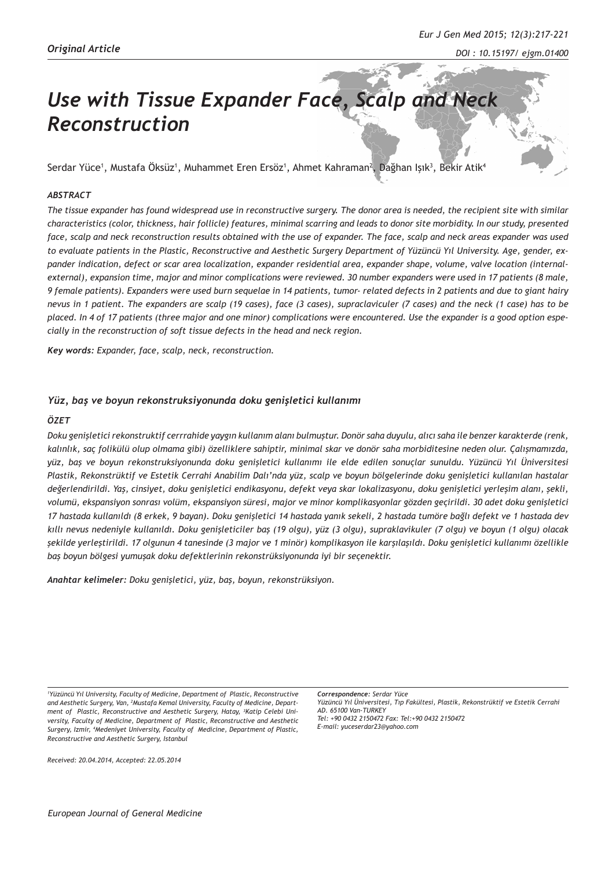# *Use with Tissue Expander Face, Scalp and Neck Reconstruction*

Serdar Yüce<sup>1</sup>, Mustafa Oksüz<sup>1</sup>, Muhammet Eren Ersöz<sup>1</sup>, Ahmet Kahraman<sup>2</sup>, Dağhan Işık<sup>3</sup>, Bēkir Atik<sup>4</sup>

## *ABSTRACT*

*The tissue expander has found widespread use in reconstructive surgery. The donor area is needed, the recipient site with similar characteristics (color, thickness, hair follicle) features, minimal scarring and leads to donor site morbidity. In our study, presented face, scalp and neck reconstruction results obtained with the use of expander. The face, scalp and neck areas expander was used to evaluate patients in the Plastic, Reconstructive and Aesthetic Surgery Department of Yüzüncü Yıl University. Age, gender, expander indication, defect or scar area localization, expander residential area, expander shape, volume, valve location (internalexternal), expansion time, major and minor complications were reviewed. 30 number expanders were used in 17 patients (8 male, 9 female patients). Expanders were used burn sequelae in 14 patients, tumor- related defects in 2 patients and due to giant hairy nevus in 1 patient. The expanders are scalp (19 cases), face (3 cases), supraclaviculer (7 cases) and the neck (1 case) has to be placed. In 4 of 17 patients (three major and one minor) complications were encountered. Use the expander is a good option especially in the reconstruction of soft tissue defects in the head and neck region.*

*Key words: Expander, face, scalp, neck, reconstruction.* 

## *Yüz, baş ve boyun rekonstruksiyonunda doku genişletici kullanımı*

### *ÖZET*

*Doku genişletici rekonstruktif cerrrahide yaygın kullanım alanı bulmuştur. Donör saha duyulu, alıcı saha ile benzer karakterde (renk, kalınlık, saç folikülü olup olmama gibi) özelliklere sahiptir, minimal skar ve donör saha morbiditesine neden olur. Çalışmamızda, yüz, baş ve boyun rekonstruksiyonunda doku genişletici kullanımı ile elde edilen sonuçlar sunuldu. Yüzüncü Yıl Üniversitesi Plastik, Rekonstrüktif ve Estetik Cerrahi Anabilim Dalı'nda yüz, scalp ve boyun bölgelerinde doku genişletici kullanılan hastalar değerlendirildi. Yaş, cinsiyet, doku genişletici endikasyonu, defekt veya skar lokalizasyonu, doku genişletici yerleşim alanı, şekli, volumü, ekspansiyon sonrası volüm, ekspansiyon süresi, major ve minor komplikasyonlar gözden geçirildi. 30 adet doku genişletici 17 hastada kullanıldı (8 erkek, 9 bayan). Doku genişletici 14 hastada yanık sekeli, 2 hastada tumöre bağlı defekt ve 1 hastada dev kıllı nevus nedeniyle kullanıldı. Doku genişleticiler baş (19 olgu), yüz (3 olgu), supraklavikuler (7 olgu) ve boyun (1 olgu) olacak şekilde yerleştirildi. 17 olgunun 4 tanesinde (3 major ve 1 minör) komplikasyon ile karşılaşıldı. Doku genişletici kullanımı özellikle baş boyun bölgesi yumuşak doku defektlerinin rekonstrüksiyonunda iyi bir seçenektir.*

*Anahtar kelimeler: Doku genişletici, yüz, baş, boyun, rekonstrüksiyon.*

*1 Yüzüncü Yıl University, Faculty of Medicine, Department of Plastic, Reconstructive and Aesthetic Surgery, Van, 2 Mustafa Kemal University, Faculty of Medicine, Department of Plastic, Reconstructive and Aesthetic Surgery, Hatay, 3 Katip Celebi University, Faculty of Medicine, Department of Plastic, Reconstructive and Aesthetic Surgery, Izmir, 4 Medeniyet University, Faculty of Medicine, Department of Plastic, Reconstructive and Aesthetic Surgery, Istanbul*

*Correspondence: Serdar Yüce Yüzüncü Yıl Üniversitesi, Tıp Fakültesi, Plastik, Rekonstrüktif ve Estetik Cerrahi AD. 65100 Van-TURKEY Tel: +90 0432 2150472 Fax: Tel:+90 0432 2150472 E-mail: yuceserdar23@yahoo.com*

*Received: 20.04.2014, Accepted: 22.05.2014*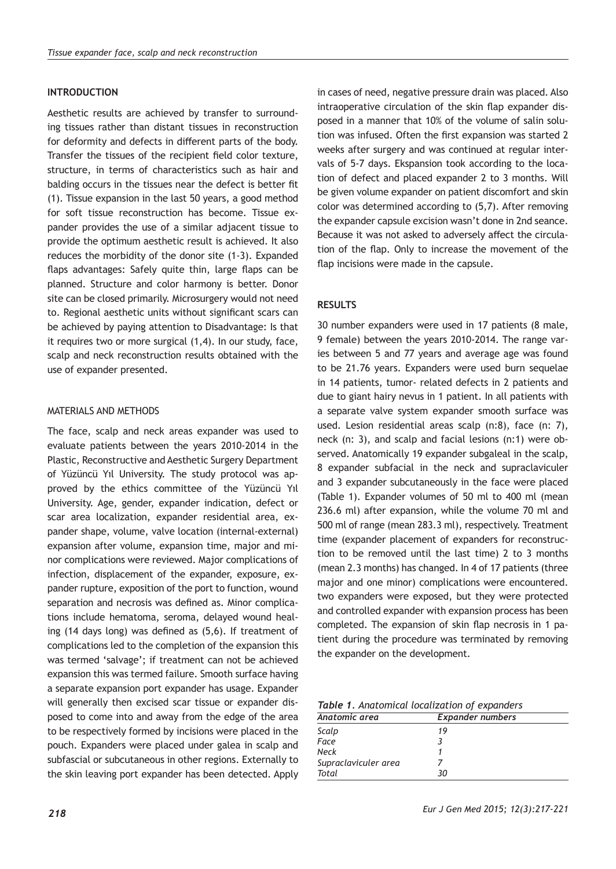## **INTRODUCTION**

Aesthetic results are achieved by transfer to surrounding tissues rather than distant tissues in reconstruction for deformity and defects in different parts of the body. Transfer the tissues of the recipient field color texture, structure, in terms of characteristics such as hair and balding occurs in the tissues near the defect is better fit (1). Tissue expansion in the last 50 years, a good method for soft tissue reconstruction has become. Tissue expander provides the use of a similar adjacent tissue to provide the optimum aesthetic result is achieved. It also reduces the morbidity of the donor site (1-3). Expanded flaps advantages: Safely quite thin, large flaps can be planned. Structure and color harmony is better. Donor site can be closed primarily. Microsurgery would not need to. Regional aesthetic units without significant scars can be achieved by paying attention to Disadvantage: Is that it requires two or more surgical (1,4). In our study, face, scalp and neck reconstruction results obtained with the use of expander presented.

### MATERIALS AND METHODS

The face, scalp and neck areas expander was used to evaluate patients between the years 2010-2014 in the Plastic, Reconstructive and Aesthetic Surgery Department of Yüzüncü Yıl University. The study protocol was approved by the ethics committee of the Yüzüncü Yıl University. Age, gender, expander indication, defect or scar area localization, expander residential area, expander shape, volume, valve location (internal-external) expansion after volume, expansion time, major and minor complications were reviewed. Major complications of infection, displacement of the expander, exposure, expander rupture, exposition of the port to function, wound separation and necrosis was defined as. Minor complications include hematoma, seroma, delayed wound healing (14 days long) was defined as (5,6). If treatment of complications led to the completion of the expansion this was termed 'salvage'; if treatment can not be achieved expansion this was termed failure. Smooth surface having a separate expansion port expander has usage. Expander will generally then excised scar tissue or expander disposed to come into and away from the edge of the area to be respectively formed by incisions were placed in the pouch. Expanders were placed under galea in scalp and subfascial or subcutaneous in other regions. Externally to the skin leaving port expander has been detected. Apply

in cases of need, negative pressure drain was placed. Also intraoperative circulation of the skin flap expander disposed in a manner that 10% of the volume of salin solution was infused. Often the first expansion was started 2 weeks after surgery and was continued at regular intervals of 5-7 days. Ekspansion took according to the location of defect and placed expander 2 to 3 months. Will be given volume expander on patient discomfort and skin color was determined according to (5,7). After removing the expander capsule excision wasn't done in 2nd seance. Because it was not asked to adversely affect the circulation of the flap. Only to increase the movement of the flap incisions were made in the capsule.

## **RESULTS**

30 number expanders were used in 17 patients (8 male, 9 female) between the years 2010-2014. The range varies between 5 and 77 years and average age was found to be 21.76 years. Expanders were used burn sequelae in 14 patients, tumor- related defects in 2 patients and due to giant hairy nevus in 1 patient. In all patients with a separate valve system expander smooth surface was used. Lesion residential areas scalp (n:8), face (n: 7), neck (n: 3), and scalp and facial lesions (n:1) were observed. Anatomically 19 expander subgaleal in the scalp, 8 expander subfacial in the neck and supraclaviculer and 3 expander subcutaneously in the face were placed (Table 1). Expander volumes of 50 ml to 400 ml (mean 236.6 ml) after expansion, while the volume 70 ml and 500 ml of range (mean 283.3 ml), respectively. Treatment time (expander placement of expanders for reconstruction to be removed until the last time) 2 to 3 months (mean 2.3 months) has changed. In 4 of 17 patients (three major and one minor) complications were encountered. two expanders were exposed, but they were protected and controlled expander with expansion process has been completed. The expansion of skin flap necrosis in 1 patient during the procedure was terminated by removing the expander on the development.

*Table 1. Anatomical localization of expanders*

| Anatomic area        | <b>Expander numbers</b> |  |
|----------------------|-------------------------|--|
| Scalp                | 19                      |  |
| Face                 |                         |  |
| <b>Neck</b>          |                         |  |
| Supraclaviculer area |                         |  |
| Total                | 30                      |  |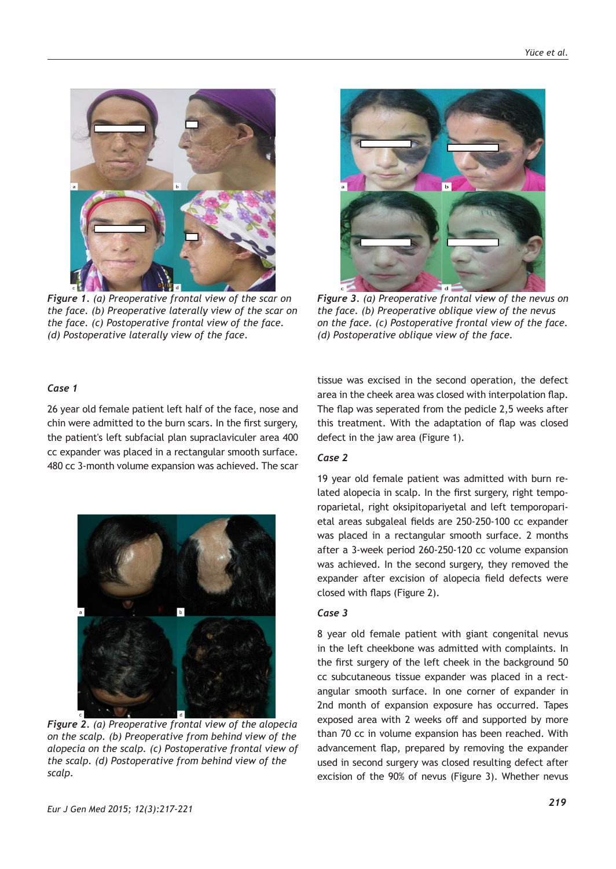

*Figure 1. (a) Preoperative frontal view of the scar on the face. (b) Preoperative laterally view of the scar on the face. (c) Postoperative frontal view of the face. (d) Postoperative laterally view of the face.*



*Figure 3. (a) Preoperative frontal view of the nevus on the face. (b) Preoperative oblique view of the nevus on the face. (c) Postoperative frontal view of the face. (d) Postoperative oblique view of the face.*

### *Case 1*

26 year old female patient left half of the face, nose and chin were admitted to the burn scars. In the first surgery, the patient's left subfacial plan supraclaviculer area 400 cc expander was placed in a rectangular smooth surface. 480 cc 3-month volume expansion was achieved. The scar



*Figure 2. (a) Preoperative frontal view of the alopecia on the scalp. (b) Preoperative from behind view of the alopecia on the scalp. (c) Postoperative frontal view of the scalp. (d) Postoperative from behind view of the scalp.*

tissue was excised in the second operation, the defect area in the cheek area was closed with interpolation flap. The flap was seperated from the pedicle 2,5 weeks after this treatment. With the adaptation of flap was closed defect in the jaw area (Figure 1).

## *Case 2*

19 year old female patient was admitted with burn related alopecia in scalp. In the first surgery, right temporoparietal, right oksipitopariyetal and left temporoparietal areas subgaleal fields are 250-250-100 cc expander was placed in a rectangular smooth surface. 2 months after a 3-week period 260-250-120 cc volume expansion was achieved. In the second surgery, they removed the expander after excision of alopecia field defects were closed with flaps (Figure 2).

## *Case 3*

8 year old female patient with giant congenital nevus in the left cheekbone was admitted with complaints. In the first surgery of the left cheek in the background 50 cc subcutaneous tissue expander was placed in a rectangular smooth surface. In one corner of expander in 2nd month of expansion exposure has occurred. Tapes exposed area with 2 weeks off and supported by more than 70 cc in volume expansion has been reached. With advancement flap, prepared by removing the expander used in second surgery was closed resulting defect after excision of the 90% of nevus (Figure 3). Whether nevus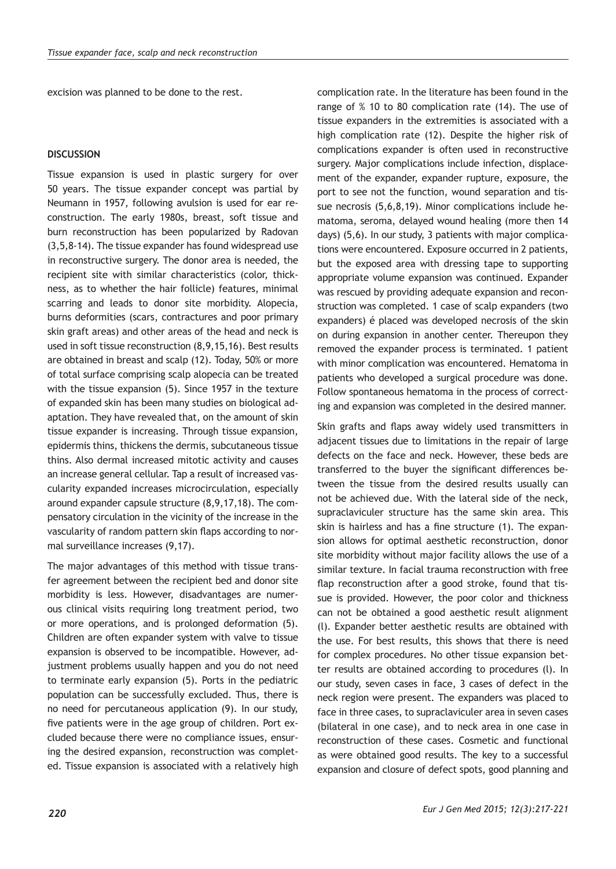excision was planned to be done to the rest.

### **DISCUSSION**

Tissue expansion is used in plastic surgery for over 50 years. The tissue expander concept was partial by Neumann in 1957, following avulsion is used for ear reconstruction. The early 1980s, breast, soft tissue and burn reconstruction has been popularized by Radovan (3,5,8-14). The tissue expander has found widespread use in reconstructive surgery. The donor area is needed, the recipient site with similar characteristics (color, thickness, as to whether the hair follicle) features, minimal scarring and leads to donor site morbidity. Alopecia, burns deformities (scars, contractures and poor primary skin graft areas) and other areas of the head and neck is used in soft tissue reconstruction (8,9,15,16). Best results are obtained in breast and scalp (12). Today, 50% or more of total surface comprising scalp alopecia can be treated with the tissue expansion (5). Since 1957 in the texture of expanded skin has been many studies on biological adaptation. They have revealed that, on the amount of skin tissue expander is increasing. Through tissue expansion, epidermis thins, thickens the dermis, subcutaneous tissue thins. Also dermal increased mitotic activity and causes an increase general cellular. Tap a result of increased vascularity expanded increases microcirculation, especially around expander capsule structure (8,9,17,18). The compensatory circulation in the vicinity of the increase in the vascularity of random pattern skin flaps according to normal surveillance increases (9,17).

The major advantages of this method with tissue transfer agreement between the recipient bed and donor site morbidity is less. However, disadvantages are numerous clinical visits requiring long treatment period, two or more operations, and is prolonged deformation (5). Children are often expander system with valve to tissue expansion is observed to be incompatible. However, adjustment problems usually happen and you do not need to terminate early expansion (5). Ports in the pediatric population can be successfully excluded. Thus, there is no need for percutaneous application (9). In our study, five patients were in the age group of children. Port excluded because there were no compliance issues, ensuring the desired expansion, reconstruction was completed. Tissue expansion is associated with a relatively high complication rate. In the literature has been found in the range of % 10 to 80 complication rate (14). The use of tissue expanders in the extremities is associated with a high complication rate (12). Despite the higher risk of complications expander is often used in reconstructive surgery. Major complications include infection, displacement of the expander, expander rupture, exposure, the port to see not the function, wound separation and tissue necrosis (5,6,8,19). Minor complications include hematoma, seroma, delayed wound healing (more then 14 days) (5,6). In our study, 3 patients with major complications were encountered. Exposure occurred in 2 patients, but the exposed area with dressing tape to supporting appropriate volume expansion was continued. Expander was rescued by providing adequate expansion and reconstruction was completed. 1 case of scalp expanders (two expanders) é placed was developed necrosis of the skin on during expansion in another center. Thereupon they removed the expander process is terminated. 1 patient with minor complication was encountered. Hematoma in patients who developed a surgical procedure was done. Follow spontaneous hematoma in the process of correcting and expansion was completed in the desired manner.

Skin grafts and flaps away widely used transmitters in adjacent tissues due to limitations in the repair of large defects on the face and neck. However, these beds are transferred to the buyer the significant differences between the tissue from the desired results usually can not be achieved due. With the lateral side of the neck, supraclaviculer structure has the same skin area. This skin is hairless and has a fine structure (1). The expansion allows for optimal aesthetic reconstruction, donor site morbidity without major facility allows the use of a similar texture. In facial trauma reconstruction with free flap reconstruction after a good stroke, found that tissue is provided. However, the poor color and thickness can not be obtained a good aesthetic result alignment (l). Expander better aesthetic results are obtained with the use. For best results, this shows that there is need for complex procedures. No other tissue expansion better results are obtained according to procedures (l). In our study, seven cases in face, 3 cases of defect in the neck region were present. The expanders was placed to face in three cases, to supraclaviculer area in seven cases (bilateral in one case), and to neck area in one case in reconstruction of these cases. Cosmetic and functional as were obtained good results. The key to a successful expansion and closure of defect spots, good planning and